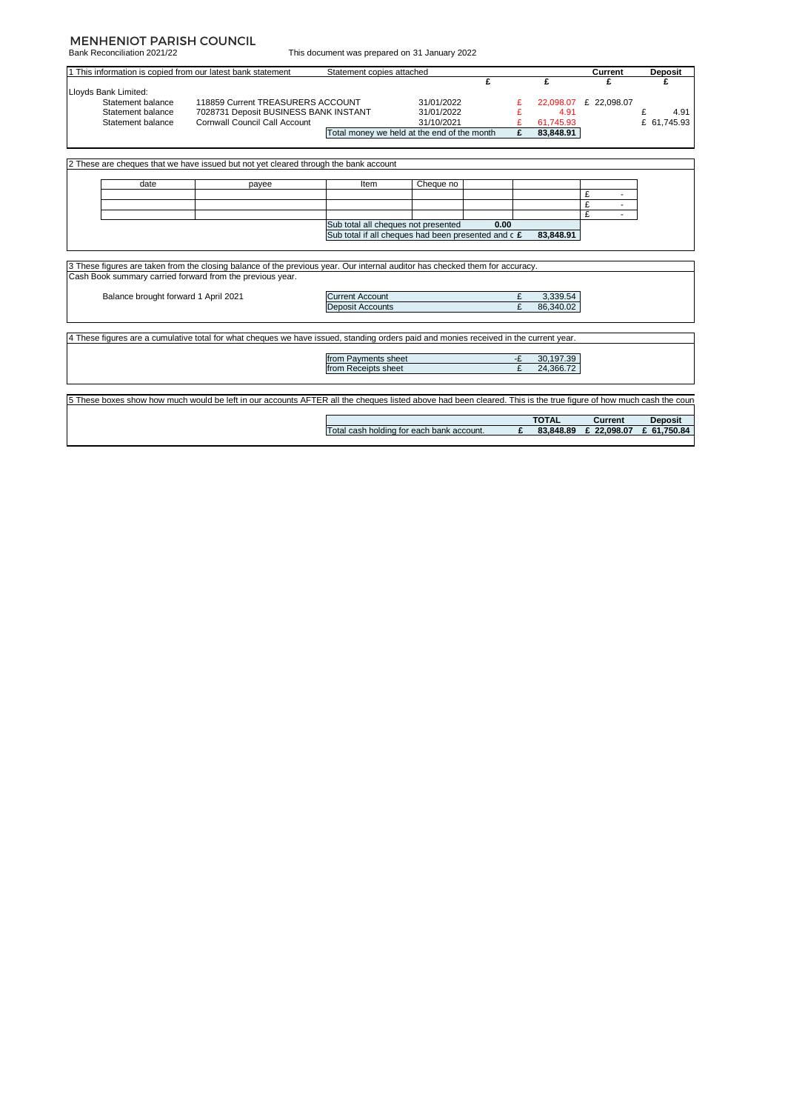### MENHENIOT PARISH COUNCIL

Bank Reconciliation 2021/22

This document was prepared on 31 January 2022

| £<br>£<br>£<br>Statement balance<br>118859 Current TREASURERS ACCOUNT<br>31/01/2022<br>22,098.07 £ 22,098.07<br>7028731 Deposit BUSINESS BANK INSTANT<br>31/01/2022<br>£<br>Statement balance<br>4.91<br><b>Cornwall Council Call Account</b><br>31/10/2021<br>61,745.93<br>Statement balance<br>Total money we held at the end of the month<br>£<br>83,848.91<br>date<br>Cheque no<br>Item<br>payee<br>£<br>$\overline{\phantom{a}}$<br>£<br>$\sim$<br>£<br>Sub total all cheques not presented<br>0.00<br>Sub total if all cheques had been presented and c £<br>83.848.91<br>Balance brought forward 1 April 2021<br><b>Current Account</b><br>3,339.54<br>86.340.02<br><b>Deposit Accounts</b><br>from Payments sheet<br>30,197.39<br>-£<br>£<br>24.366.72<br>from Receipts sheet |  | 1 This information is copied from our latest bank statement | Statement copies attached |  |              | Current | <b>Deposit</b> |
|---------------------------------------------------------------------------------------------------------------------------------------------------------------------------------------------------------------------------------------------------------------------------------------------------------------------------------------------------------------------------------------------------------------------------------------------------------------------------------------------------------------------------------------------------------------------------------------------------------------------------------------------------------------------------------------------------------------------------------------------------------------------------------------|--|-------------------------------------------------------------|---------------------------|--|--------------|---------|----------------|
| Lloyds Bank Limited:                                                                                                                                                                                                                                                                                                                                                                                                                                                                                                                                                                                                                                                                                                                                                                  |  |                                                             |                           |  |              |         |                |
|                                                                                                                                                                                                                                                                                                                                                                                                                                                                                                                                                                                                                                                                                                                                                                                       |  |                                                             |                           |  |              |         |                |
|                                                                                                                                                                                                                                                                                                                                                                                                                                                                                                                                                                                                                                                                                                                                                                                       |  |                                                             |                           |  |              |         |                |
|                                                                                                                                                                                                                                                                                                                                                                                                                                                                                                                                                                                                                                                                                                                                                                                       |  |                                                             |                           |  |              |         | 4.91           |
| 2 These are cheques that we have issued but not yet cleared through the bank account<br>3 These figures are taken from the closing balance of the previous year. Our internal auditor has checked them for accuracy.<br>Cash Book summary carried forward from the previous year.<br>4 These figures are a cumulative total for what cheques we have issued, standing orders paid and monies received in the current year.                                                                                                                                                                                                                                                                                                                                                            |  |                                                             |                           |  |              |         | £ 61,745.93    |
|                                                                                                                                                                                                                                                                                                                                                                                                                                                                                                                                                                                                                                                                                                                                                                                       |  |                                                             |                           |  |              |         |                |
|                                                                                                                                                                                                                                                                                                                                                                                                                                                                                                                                                                                                                                                                                                                                                                                       |  |                                                             |                           |  |              |         |                |
|                                                                                                                                                                                                                                                                                                                                                                                                                                                                                                                                                                                                                                                                                                                                                                                       |  |                                                             |                           |  |              |         |                |
|                                                                                                                                                                                                                                                                                                                                                                                                                                                                                                                                                                                                                                                                                                                                                                                       |  |                                                             |                           |  |              |         |                |
|                                                                                                                                                                                                                                                                                                                                                                                                                                                                                                                                                                                                                                                                                                                                                                                       |  |                                                             |                           |  |              |         |                |
|                                                                                                                                                                                                                                                                                                                                                                                                                                                                                                                                                                                                                                                                                                                                                                                       |  |                                                             |                           |  |              |         |                |
|                                                                                                                                                                                                                                                                                                                                                                                                                                                                                                                                                                                                                                                                                                                                                                                       |  |                                                             |                           |  |              |         |                |
|                                                                                                                                                                                                                                                                                                                                                                                                                                                                                                                                                                                                                                                                                                                                                                                       |  |                                                             |                           |  |              |         |                |
|                                                                                                                                                                                                                                                                                                                                                                                                                                                                                                                                                                                                                                                                                                                                                                                       |  |                                                             |                           |  |              |         |                |
|                                                                                                                                                                                                                                                                                                                                                                                                                                                                                                                                                                                                                                                                                                                                                                                       |  |                                                             |                           |  |              |         |                |
|                                                                                                                                                                                                                                                                                                                                                                                                                                                                                                                                                                                                                                                                                                                                                                                       |  |                                                             |                           |  |              |         |                |
|                                                                                                                                                                                                                                                                                                                                                                                                                                                                                                                                                                                                                                                                                                                                                                                       |  |                                                             |                           |  |              |         |                |
|                                                                                                                                                                                                                                                                                                                                                                                                                                                                                                                                                                                                                                                                                                                                                                                       |  |                                                             |                           |  |              |         |                |
|                                                                                                                                                                                                                                                                                                                                                                                                                                                                                                                                                                                                                                                                                                                                                                                       |  |                                                             |                           |  |              |         |                |
|                                                                                                                                                                                                                                                                                                                                                                                                                                                                                                                                                                                                                                                                                                                                                                                       |  |                                                             |                           |  |              |         |                |
|                                                                                                                                                                                                                                                                                                                                                                                                                                                                                                                                                                                                                                                                                                                                                                                       |  |                                                             |                           |  |              |         |                |
|                                                                                                                                                                                                                                                                                                                                                                                                                                                                                                                                                                                                                                                                                                                                                                                       |  |                                                             |                           |  |              |         |                |
|                                                                                                                                                                                                                                                                                                                                                                                                                                                                                                                                                                                                                                                                                                                                                                                       |  |                                                             |                           |  |              |         |                |
|                                                                                                                                                                                                                                                                                                                                                                                                                                                                                                                                                                                                                                                                                                                                                                                       |  |                                                             |                           |  |              |         |                |
|                                                                                                                                                                                                                                                                                                                                                                                                                                                                                                                                                                                                                                                                                                                                                                                       |  |                                                             |                           |  |              |         |                |
|                                                                                                                                                                                                                                                                                                                                                                                                                                                                                                                                                                                                                                                                                                                                                                                       |  |                                                             |                           |  |              |         |                |
|                                                                                                                                                                                                                                                                                                                                                                                                                                                                                                                                                                                                                                                                                                                                                                                       |  |                                                             |                           |  |              |         |                |
|                                                                                                                                                                                                                                                                                                                                                                                                                                                                                                                                                                                                                                                                                                                                                                                       |  |                                                             |                           |  |              |         |                |
| 5 These boxes show how much would be left in our accounts AFTER all the cheques listed above had been cleared. This is the true figure of how much cash the coun                                                                                                                                                                                                                                                                                                                                                                                                                                                                                                                                                                                                                      |  |                                                             |                           |  |              |         |                |
|                                                                                                                                                                                                                                                                                                                                                                                                                                                                                                                                                                                                                                                                                                                                                                                       |  |                                                             |                           |  |              |         |                |
| Total cash holding for each bank account.<br>£<br>£ 22,098.07<br>£ 61.750.84<br>83.848.89                                                                                                                                                                                                                                                                                                                                                                                                                                                                                                                                                                                                                                                                                             |  |                                                             |                           |  | <b>TOTAL</b> | Current | <b>Deposit</b> |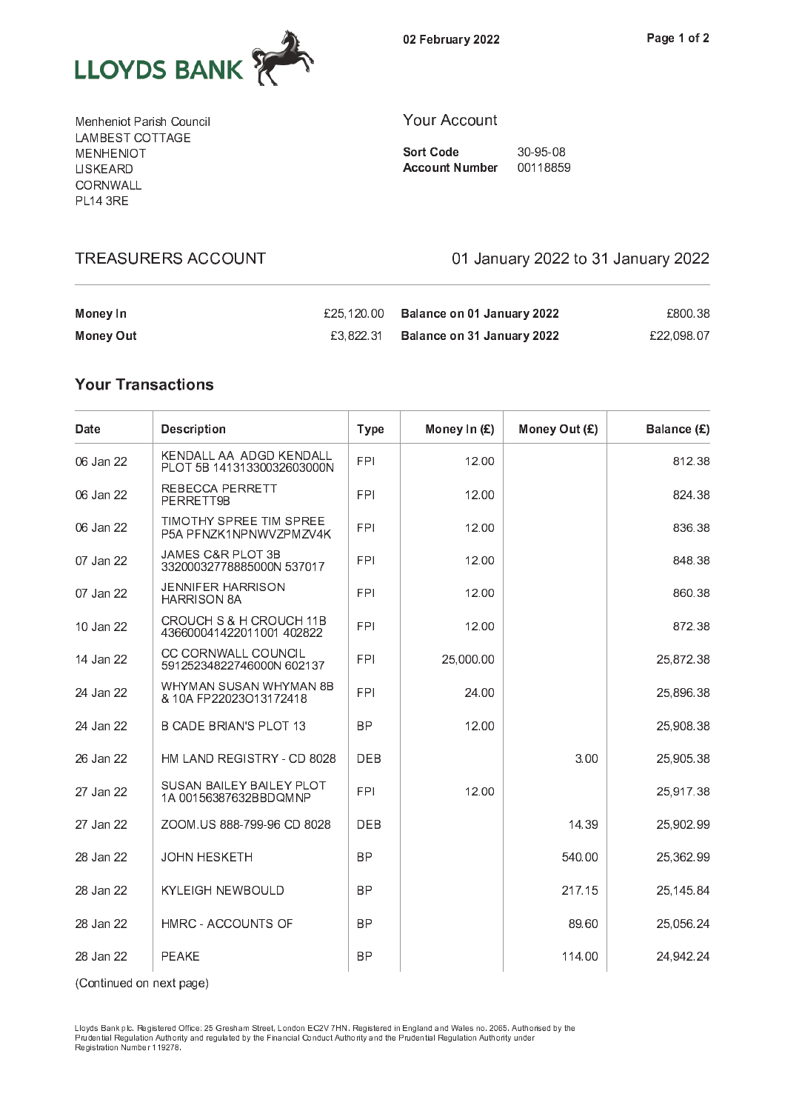

0 2 P e b r u a r y 2 2 2 2

M <sup>e</sup> <sup>n</sup> <sup>h</sup> <sup>e</sup> <sup>n</sup> <sup>i</sup> o <sup>t</sup> <sup>P</sup> <sup>a</sup> <sup>r</sup> i s <sup>h</sup> <sup>C</sup> <sup>o</sup> <sup>u</sup> <sup>n</sup> <sup>c</sup> <sup>i</sup> l . . . . <u>.</u> . . . . . . . . . M <sup>E</sup> <sup>N</sup> <sup>H</sup> <sup>E</sup> <sup>N</sup> <sup>I</sup> O <sup>T</sup> L <sup>I</sup> S <sup>K</sup> <sup>E</sup> <sup>A</sup> <sup>R</sup> <sup>D</sup> - - - - - - - - - - - $-$  . . .  $-$ 

### Y <sup>o</sup> <sup>u</sup> <sup>r</sup> <sup>A</sup> <sup>c</sup> <sup>c</sup> <sup>o</sup> <sup>u</sup> <sup>n</sup> <sup>t</sup>

S o r t C o d e 3 o 9 d e 3 d e 3 d e 3 d e 3 d e 3 d e 3 d e 3 d e 3 d e 3 d e 3 d e 3 d e 3 d e 3 d e 3 d e A c o u n t n t n b e r o u m b e r o u m b e r o u m b e r o u m b e r o u m b e r o u m b e r o u m b e r o

£25,120.00 Balance on 01 January 2022 £800.38

£3,822.31 Balance on 31 January 2022 £22,098.07

01 January 2022 to 31 January 2022

### **Money In**

**TREASURERS ACCOUNT** 

### **Your Transactions**

**Money Out** 

| Date      | <b>Description</b>                                    | <b>Type</b> | Money In $(E)$ | Money Out (£) | Balance (£) |
|-----------|-------------------------------------------------------|-------------|----------------|---------------|-------------|
| 06 Jan 22 | KENDALL AA ADGD KENDALL<br>PLOT 5B 14131330032603000N | <b>FPI</b>  | 12.00          |               | 812.38      |
| 06 Jan 22 | REBECCA PERRETT<br>PERRETT9B                          | <b>FPI</b>  | 12.00          |               | 824.38      |
| 06 Jan 22 | TIMOTHY SPREE TIM SPREE<br>P5A PFNZK1NPNWVZPMZV4K     | <b>FPI</b>  | 12.00          |               | 836.38      |
| 07 Jan 22 | JAMES C&R PLOT 3B<br>33200032778885000N 537017        | <b>FPI</b>  | 12.00          |               | 848.38      |
| 07 Jan 22 | <b>JENNIFER HARRISON</b><br><b>HARRISON 8A</b>        | <b>FPI</b>  | 12.00          |               | 860.38      |
| 10 Jan 22 | CROUCH S & H CROUCH 11B<br>436600041422011001402822   | <b>FPI</b>  | 12.00          |               | 872.38      |
| 14 Jan 22 | CC CORNWALL COUNCIL<br>59125234822746000N 602137      | <b>FPI</b>  | 25,000.00      |               | 25,872.38   |
| 24 Jan 22 | WHYMAN SUSAN WHYMAN 8B<br>& 10A FP22023O13172418      | <b>FPI</b>  | 24.00          |               | 25,896.38   |
| 24 Jan 22 | <b>B CADE BRIAN'S PLOT 13</b>                         | <b>BP</b>   | 12.00          |               | 25,908.38   |
| 26 Jan 22 | HM LAND REGISTRY - CD 8028                            | <b>DEB</b>  |                | 3.00          | 25,905.38   |
| 27 Jan 22 | SUSAN BAILEY BAILEY PLOT<br>1A 00156387632BBDQMNP     | <b>FPI</b>  | 12.00          |               | 25,917.38   |
| 27 Jan 22 | ZOOM.US 888-799-96 CD 8028                            | <b>DEB</b>  |                | 14.39         | 25,902.99   |
| 28 Jan 22 | <b>JOHN HESKETH</b>                                   | <b>BP</b>   |                | 540.00        | 25,362.99   |
| 28 Jan 22 | <b>KYLEIGH NEWBOULD</b>                               | <b>BP</b>   |                | 217.15        | 25,145.84   |
| 28 Jan 22 | HMRC - ACCOUNTS OF                                    | <b>BP</b>   |                | 89.60         | 25,056.24   |
| 28 Jan 22 | <b>PEAKE</b>                                          | <b>BP</b>   |                | 114.00        | 24,942.24   |

( C o n e d o n e s e ) ( C o n e )

P <sup>r</sup> u d e n t i a l R <sup>e</sup> g u l a t i o n <sup>A</sup> <sup>u</sup> t h o r i t y <sup>a</sup> n d <sup>r</sup> e g u l a t e d <sup>b</sup> y <sup>t</sup> h e <sup>F</sup> i n a n c i a l C <sup>o</sup> n d u c t A <sup>u</sup> t h o r i t y <sup>a</sup> n d <sup>t</sup> h e <sup>P</sup> <sup>r</sup> u d e n t i a l R <sup>e</sup> g u l a t i o n <sup>A</sup> <sup>u</sup> t h o r i t y <sup>u</sup> n d e r R <sup>e</sup> g i s t r a t i o n <sup>N</sup> <sup>u</sup> m <sup>b</sup> e r 1 1 9 2 7 8 .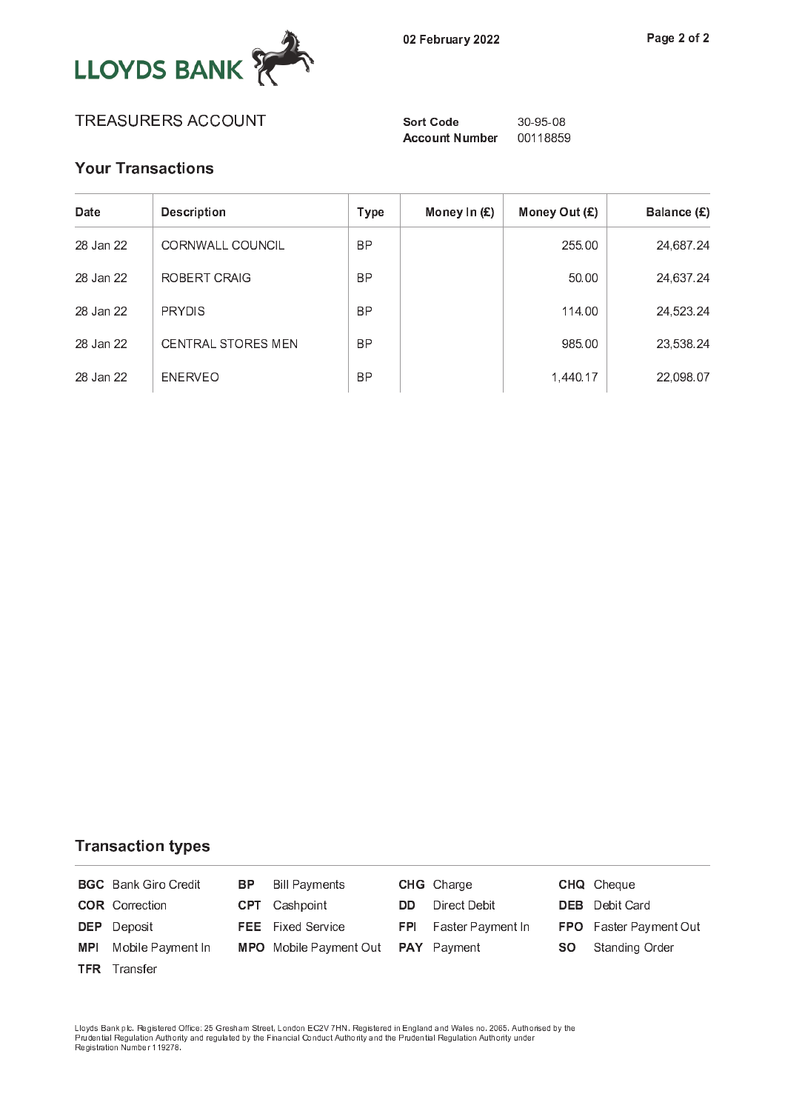

Account Number 00118859

# **Your Transactions**

| Date      | <b>Description</b>        | Type      | Money In $(E)$ | Money Out $(E)$ | Balance (£) |
|-----------|---------------------------|-----------|----------------|-----------------|-------------|
| 28 Jan 22 | CORNWALL COUNCIL          | <b>BP</b> |                | 255.00          | 24,687.24   |
| 28 Jan 22 | ROBERT CRAIG              | <b>BP</b> |                | 50.00           | 24,637.24   |
| 28 Jan 22 | <b>PRYDIS</b>             | <b>BP</b> |                | 114.00          | 24,523.24   |
| 28 Jan 22 | <b>CENTRAL STORES MEN</b> | <b>BP</b> |                | 985.00          | 23,538.24   |
| 28 Jan 22 | <b>FNFRVFO</b>            | <b>BP</b> |                | 1,440.17        | 22,098.07   |

### **Transaction types**

|            | <b>BGC</b> Bank Giro Credit | BP. | <b>Bill Payments</b>               |            | <b>CHG</b> Charge |           | <b>CHQ</b> Cheque             |
|------------|-----------------------------|-----|------------------------------------|------------|-------------------|-----------|-------------------------------|
|            | <b>COR</b> Correction       |     | <b>CPT</b> Cashpoint               | DD.        | Direct Debit      |           | <b>DEB</b> Debit Card         |
|            | <b>DEP</b> Deposit          |     | <b>FEE</b> Fixed Service           | <b>FPI</b> | Faster Payment In |           | <b>FPO</b> Faster Payment Out |
| <b>MPI</b> | Mobile Payment In           |     | MPO Mobile Payment Out PAY Payment |            |                   | <b>SO</b> | Standing Order                |
|            | <b>TFR</b> Transfer         |     |                                    |            |                   |           |                               |

Lloyds Bank plc. Registered Office: 25 Gresham Street, London EC2V 7HN. Registered in England and Wales no. 2065. Authorised by th<br>Prudential Regulation Authority and regulated by the Financial Conduct Authority and the Pr